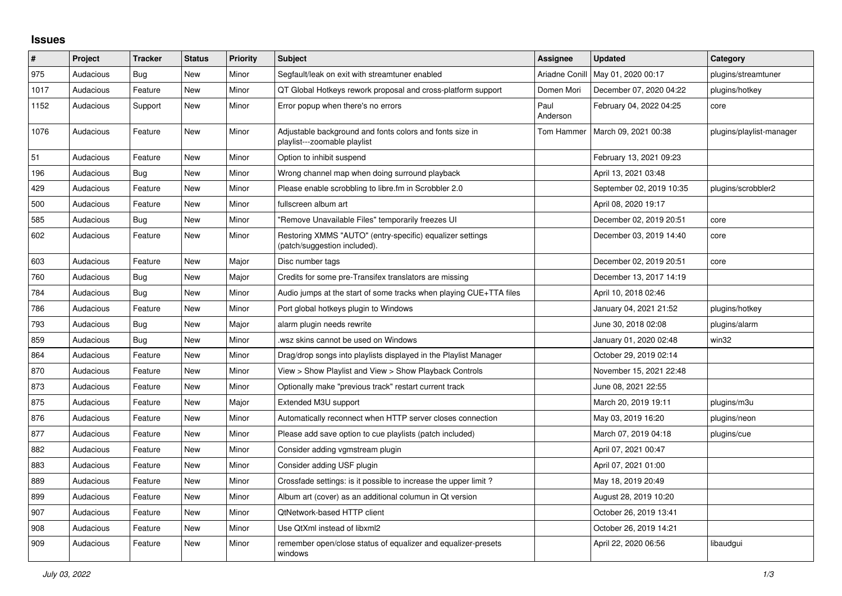## **Issues**

| $\#$ | Project   | <b>Tracker</b> | <b>Status</b> | <b>Priority</b> | <b>Subject</b>                                                                            | Assignee         | <b>Updated</b>           | Category                 |
|------|-----------|----------------|---------------|-----------------|-------------------------------------------------------------------------------------------|------------------|--------------------------|--------------------------|
| 975  | Audacious | <b>Bug</b>     | New           | Minor           | Segfault/leak on exit with streamtuner enabled                                            | Ariadne Conill   | May 01, 2020 00:17       | plugins/streamtuner      |
| 1017 | Audacious | Feature        | New           | Minor           | QT Global Hotkeys rework proposal and cross-platform support                              | Domen Mori       | December 07, 2020 04:22  | plugins/hotkey           |
| 1152 | Audacious | Support        | New           | Minor           | Error popup when there's no errors                                                        | Paul<br>Anderson | February 04, 2022 04:25  | core                     |
| 1076 | Audacious | Feature        | New           | Minor           | Adjustable background and fonts colors and fonts size in<br>playlist---zoomable playlist  | Tom Hammer       | March 09, 2021 00:38     | plugins/playlist-manager |
| 51   | Audacious | Feature        | New           | Minor           | Option to inhibit suspend                                                                 |                  | February 13, 2021 09:23  |                          |
| 196  | Audacious | Bug            | New           | Minor           | Wrong channel map when doing surround playback                                            |                  | April 13, 2021 03:48     |                          |
| 429  | Audacious | Feature        | New           | Minor           | Please enable scrobbling to libre.fm in Scrobbler 2.0                                     |                  | September 02, 2019 10:35 | plugins/scrobbler2       |
| 500  | Audacious | Feature        | New           | Minor           | fullscreen album art                                                                      |                  | April 08, 2020 19:17     |                          |
| 585  | Audacious | Bug            | New           | Minor           | "Remove Unavailable Files" temporarily freezes UI                                         |                  | December 02, 2019 20:51  | core                     |
| 602  | Audacious | Feature        | New           | Minor           | Restoring XMMS "AUTO" (entry-specific) equalizer settings<br>(patch/suggestion included). |                  | December 03, 2019 14:40  | core                     |
| 603  | Audacious | Feature        | New           | Major           | Disc number tags                                                                          |                  | December 02, 2019 20:51  | core                     |
| 760  | Audacious | Bug            | <b>New</b>    | Major           | Credits for some pre-Transifex translators are missing                                    |                  | December 13, 2017 14:19  |                          |
| 784  | Audacious | Bug            | <b>New</b>    | Minor           | Audio jumps at the start of some tracks when playing CUE+TTA files                        |                  | April 10, 2018 02:46     |                          |
| 786  | Audacious | Feature        | New           | Minor           | Port global hotkeys plugin to Windows                                                     |                  | January 04, 2021 21:52   | plugins/hotkey           |
| 793  | Audacious | Bug            | New           | Major           | alarm plugin needs rewrite                                                                |                  | June 30, 2018 02:08      | plugins/alarm            |
| 859  | Audacious | <b>Bug</b>     | New           | Minor           | wsz skins cannot be used on Windows                                                       |                  | January 01, 2020 02:48   | win32                    |
| 864  | Audacious | Feature        | New           | Minor           | Drag/drop songs into playlists displayed in the Playlist Manager                          |                  | October 29, 2019 02:14   |                          |
| 870  | Audacious | Feature        | <b>New</b>    | Minor           | View > Show Playlist and View > Show Playback Controls                                    |                  | November 15, 2021 22:48  |                          |
| 873  | Audacious | Feature        | New           | Minor           | Optionally make "previous track" restart current track                                    |                  | June 08, 2021 22:55      |                          |
| 875  | Audacious | Feature        | <b>New</b>    | Major           | Extended M3U support                                                                      |                  | March 20, 2019 19:11     | plugins/m3u              |
| 876  | Audacious | Feature        | New           | Minor           | Automatically reconnect when HTTP server closes connection                                |                  | May 03, 2019 16:20       | plugins/neon             |
| 877  | Audacious | Feature        | New           | Minor           | Please add save option to cue playlists (patch included)                                  |                  | March 07, 2019 04:18     | plugins/cue              |
| 882  | Audacious | Feature        | New           | Minor           | Consider adding vgmstream plugin                                                          |                  | April 07, 2021 00:47     |                          |
| 883  | Audacious | Feature        | New           | Minor           | Consider adding USF plugin                                                                |                  | April 07, 2021 01:00     |                          |
| 889  | Audacious | Feature        | <b>New</b>    | Minor           | Crossfade settings: is it possible to increase the upper limit?                           |                  | May 18, 2019 20:49       |                          |
| 899  | Audacious | Feature        | <b>New</b>    | Minor           | Album art (cover) as an additional columun in Qt version                                  |                  | August 28, 2019 10:20    |                          |
| 907  | Audacious | Feature        | New           | Minor           | QtNetwork-based HTTP client                                                               |                  | October 26, 2019 13:41   |                          |
| 908  | Audacious | Feature        | New           | Minor           | Use QtXml instead of libxml2                                                              |                  | October 26, 2019 14:21   |                          |
| 909  | Audacious | Feature        | New           | Minor           | remember open/close status of equalizer and equalizer-presets<br>windows                  |                  | April 22, 2020 06:56     | libaudgui                |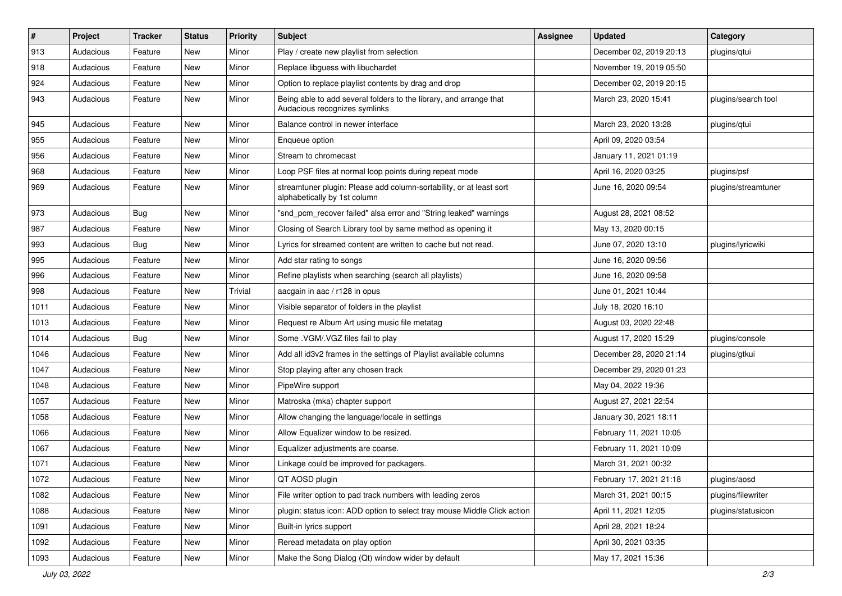| $\vert$ # | Project   | <b>Tracker</b> | <b>Status</b> | <b>Priority</b> | <b>Subject</b>                                                                                      | <b>Assignee</b> | <b>Updated</b>          | Category            |
|-----------|-----------|----------------|---------------|-----------------|-----------------------------------------------------------------------------------------------------|-----------------|-------------------------|---------------------|
| 913       | Audacious | Feature        | New           | Minor           | Play / create new playlist from selection                                                           |                 | December 02, 2019 20:13 | plugins/qtui        |
| 918       | Audacious | Feature        | <b>New</b>    | Minor           | Replace libguess with libuchardet                                                                   |                 | November 19, 2019 05:50 |                     |
| 924       | Audacious | Feature        | New           | Minor           | Option to replace playlist contents by drag and drop                                                |                 | December 02, 2019 20:15 |                     |
| 943       | Audacious | Feature        | New           | Minor           | Being able to add several folders to the library, and arrange that<br>Audacious recognizes symlinks |                 | March 23, 2020 15:41    | plugins/search tool |
| 945       | Audacious | Feature        | New           | Minor           | Balance control in newer interface                                                                  |                 | March 23, 2020 13:28    | plugins/qtui        |
| 955       | Audacious | Feature        | New           | Minor           | Enqueue option                                                                                      |                 | April 09, 2020 03:54    |                     |
| 956       | Audacious | Feature        | New           | Minor           | Stream to chromecast                                                                                |                 | January 11, 2021 01:19  |                     |
| 968       | Audacious | Feature        | New           | Minor           | Loop PSF files at normal loop points during repeat mode                                             |                 | April 16, 2020 03:25    | plugins/psf         |
| 969       | Audacious | Feature        | <b>New</b>    | Minor           | streamtuner plugin: Please add column-sortability, or at least sort<br>alphabetically by 1st column |                 | June 16, 2020 09:54     | plugins/streamtuner |
| 973       | Audacious | <b>Bug</b>     | <b>New</b>    | Minor           | "snd_pcm_recover failed" alsa error and "String leaked" warnings                                    |                 | August 28, 2021 08:52   |                     |
| 987       | Audacious | Feature        | <b>New</b>    | Minor           | Closing of Search Library tool by same method as opening it                                         |                 | May 13, 2020 00:15      |                     |
| 993       | Audacious | Bug            | New           | Minor           | Lyrics for streamed content are written to cache but not read.                                      |                 | June 07, 2020 13:10     | plugins/lyricwiki   |
| 995       | Audacious | Feature        | <b>New</b>    | Minor           | Add star rating to songs                                                                            |                 | June 16, 2020 09:56     |                     |
| 996       | Audacious | Feature        | New           | Minor           | Refine playlists when searching (search all playlists)                                              |                 | June 16, 2020 09:58     |                     |
| 998       | Audacious | Feature        | New           | Trivial         | aacgain in aac / r128 in opus                                                                       |                 | June 01, 2021 10:44     |                     |
| 1011      | Audacious | Feature        | <b>New</b>    | Minor           | Visible separator of folders in the playlist                                                        |                 | July 18, 2020 16:10     |                     |
| 1013      | Audacious | Feature        | New           | Minor           | Request re Album Art using music file metatag                                                       |                 | August 03, 2020 22:48   |                     |
| 1014      | Audacious | <b>Bug</b>     | <b>New</b>    | Minor           | Some .VGM/.VGZ files fail to play                                                                   |                 | August 17, 2020 15:29   | plugins/console     |
| 1046      | Audacious | Feature        | <b>New</b>    | Minor           | Add all id3v2 frames in the settings of Playlist available columns                                  |                 | December 28, 2020 21:14 | plugins/gtkui       |
| 1047      | Audacious | Feature        | New           | Minor           | Stop playing after any chosen track                                                                 |                 | December 29, 2020 01:23 |                     |
| 1048      | Audacious | Feature        | <b>New</b>    | Minor           | PipeWire support                                                                                    |                 | May 04, 2022 19:36      |                     |
| 1057      | Audacious | Feature        | New           | Minor           | Matroska (mka) chapter support                                                                      |                 | August 27, 2021 22:54   |                     |
| 1058      | Audacious | Feature        | New           | Minor           | Allow changing the language/locale in settings                                                      |                 | January 30, 2021 18:11  |                     |
| 1066      | Audacious | Feature        | <b>New</b>    | Minor           | Allow Equalizer window to be resized.                                                               |                 | February 11, 2021 10:05 |                     |
| 1067      | Audacious | Feature        | New           | Minor           | Equalizer adjustments are coarse.                                                                   |                 | February 11, 2021 10:09 |                     |
| 1071      | Audacious | Feature        | <b>New</b>    | Minor           | Linkage could be improved for packagers.                                                            |                 | March 31, 2021 00:32    |                     |
| 1072      | Audacious | Feature        | New           | Minor           | QT AOSD plugin                                                                                      |                 | February 17, 2021 21:18 | plugins/aosd        |
| 1082      | Audacious | Feature        | New           | Minor           | File writer option to pad track numbers with leading zeros                                          |                 | March 31, 2021 00:15    | plugins/filewriter  |
| 1088      | Audacious | Feature        | New           | Minor           | plugin: status icon: ADD option to select tray mouse Middle Click action                            |                 | April 11, 2021 12:05    | plugins/statusicon  |
| 1091      | Audacious | Feature        | New           | Minor           | Built-in lyrics support                                                                             |                 | April 28, 2021 18:24    |                     |
| 1092      | Audacious | Feature        | <b>New</b>    | Minor           | Reread metadata on play option                                                                      |                 | April 30, 2021 03:35    |                     |
| 1093      | Audacious | Feature        | New           | Minor           | Make the Song Dialog (Qt) window wider by default                                                   |                 | May 17, 2021 15:36      |                     |